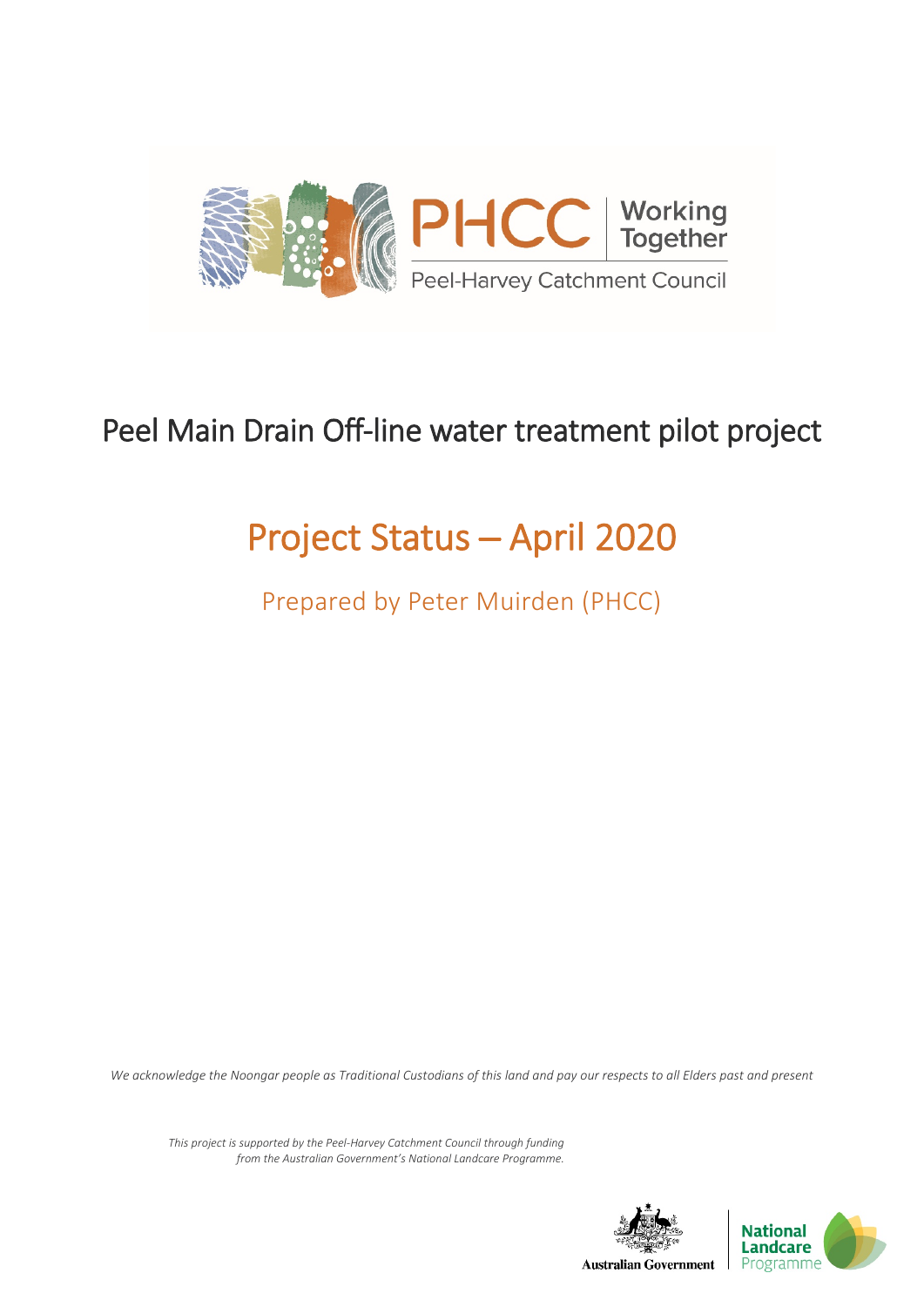

## Peel Main Drain Off-line water treatment pilot project

# Project Status ─ April 2020

Prepared by Peter Muirden (PHCC)

*We acknowledge the Noongar people as Traditional Custodians of this land and pay our respects to all Elders past and present*

*This project is supported by the Peel-Harvey Catchment Council through funding from the Australian Government's National Landcare Programme.*

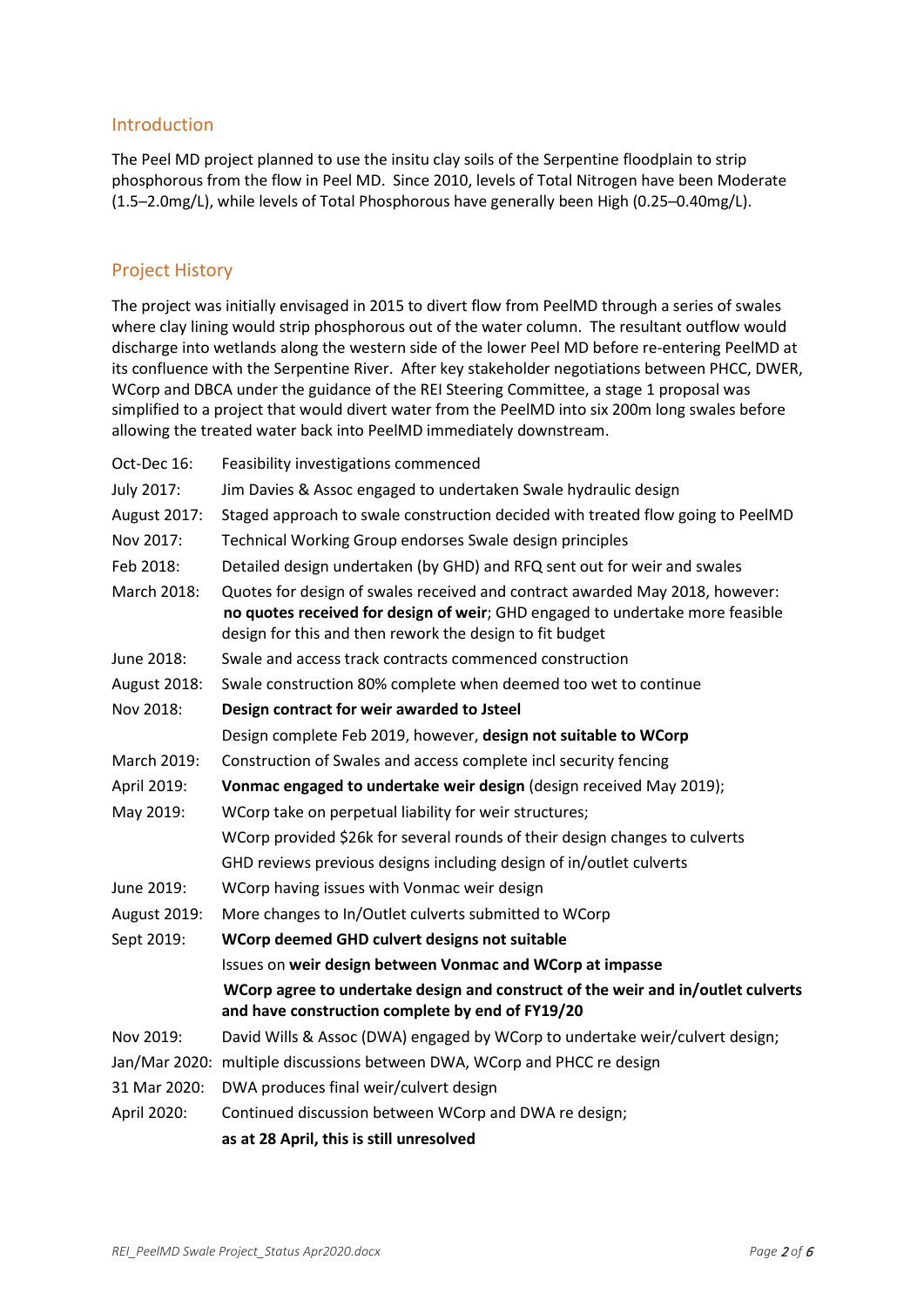#### Introduction

The Peel MD project planned to use the insitu clay soils of the Serpentine floodplain to strip phosphorous from the flow in Peel MD. Since 2010, levels of Total Nitrogen have been Moderate (1.5─2.0mg/L), while levels of Total Phosphorous have generally been High (0.25─0.40mg/L).

#### Project History

The project was initially envisaged in 2015 to divert flow from PeelMD through a series of swales where clay lining would strip phosphorous out of the water column. The resultant outflow would discharge into wetlands along the western side of the lower Peel MD before re-entering PeelMD at its confluence with the Serpentine River. After key stakeholder negotiations between PHCC, DWER, WCorp and DBCA under the guidance of the REI Steering Committee, a stage 1 proposal was simplified to a project that would divert water from the PeelMD into six 200m long swales before allowing the treated water back into PeelMD immediately downstream.

| Oct-Dec 16:         | Feasibility investigations commenced                                                                                                                                                                                      |  |  |
|---------------------|---------------------------------------------------------------------------------------------------------------------------------------------------------------------------------------------------------------------------|--|--|
| July 2017:          | Jim Davies & Assoc engaged to undertaken Swale hydraulic design                                                                                                                                                           |  |  |
| August 2017:        | Staged approach to swale construction decided with treated flow going to PeelMD                                                                                                                                           |  |  |
| Nov 2017:           | Technical Working Group endorses Swale design principles                                                                                                                                                                  |  |  |
| Feb 2018:           | Detailed design undertaken (by GHD) and RFQ sent out for weir and swales                                                                                                                                                  |  |  |
| March 2018:         | Quotes for design of swales received and contract awarded May 2018, however:<br>no quotes received for design of weir; GHD engaged to undertake more feasible<br>design for this and then rework the design to fit budget |  |  |
| June 2018:          | Swale and access track contracts commenced construction                                                                                                                                                                   |  |  |
| <b>August 2018:</b> | Swale construction 80% complete when deemed too wet to continue                                                                                                                                                           |  |  |
| Nov 2018:           | Design contract for weir awarded to Jsteel                                                                                                                                                                                |  |  |
|                     | Design complete Feb 2019, however, design not suitable to WCorp                                                                                                                                                           |  |  |
| March 2019:         | Construction of Swales and access complete incl security fencing                                                                                                                                                          |  |  |
| April 2019:         | Vonmac engaged to undertake weir design (design received May 2019);                                                                                                                                                       |  |  |
| May 2019:           | WCorp take on perpetual liability for weir structures;                                                                                                                                                                    |  |  |
|                     | WCorp provided \$26k for several rounds of their design changes to culverts                                                                                                                                               |  |  |
|                     | GHD reviews previous designs including design of in/outlet culverts                                                                                                                                                       |  |  |
| June 2019:          | WCorp having issues with Vonmac weir design                                                                                                                                                                               |  |  |
| August 2019:        | More changes to In/Outlet culverts submitted to WCorp                                                                                                                                                                     |  |  |
| Sept 2019:          | WCorp deemed GHD culvert designs not suitable                                                                                                                                                                             |  |  |
|                     | Issues on weir design between Vonmac and WCorp at impasse                                                                                                                                                                 |  |  |
|                     | WCorp agree to undertake design and construct of the weir and in/outlet culverts<br>and have construction complete by end of FY19/20                                                                                      |  |  |
| Nov 2019:           | David Wills & Assoc (DWA) engaged by WCorp to undertake weir/culvert design;                                                                                                                                              |  |  |
|                     | Jan/Mar 2020: multiple discussions between DWA, WCorp and PHCC re design                                                                                                                                                  |  |  |
| 31 Mar 2020:        | DWA produces final weir/culvert design                                                                                                                                                                                    |  |  |
| April 2020:         | Continued discussion between WCorp and DWA re design;                                                                                                                                                                     |  |  |
|                     | as at 28 April, this is still unresolved                                                                                                                                                                                  |  |  |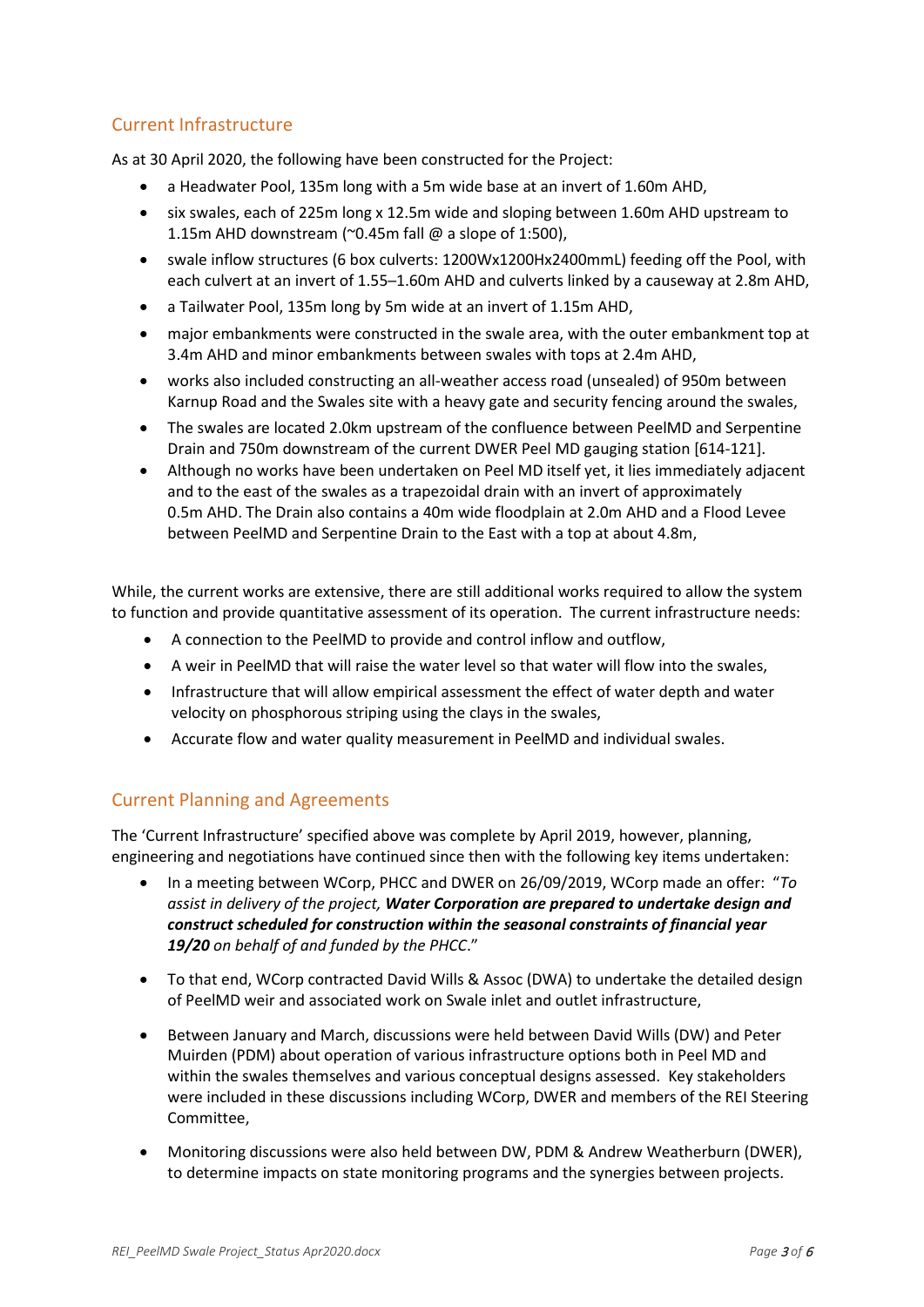## Current Infrastructure

As at 30 April 2020, the following have been constructed for the Project:

- a Headwater Pool, 135m long with a 5m wide base at an invert of 1.60m AHD,
- six swales, each of 225m long x 12.5m wide and sloping between 1.60m AHD upstream to 1.15m AHD downstream ( $\degree$ 0.45m fall @ a slope of 1:500),
- swale inflow structures (6 box culverts: 1200Wx1200Hx2400mmL) feeding off the Pool, with each culvert at an invert of 1.55-1.60m AHD and culverts linked by a causeway at 2.8m AHD,
- a Tailwater Pool, 135m long by 5m wide at an invert of 1.15m AHD,
- major embankments were constructed in the swale area, with the outer embankment top at 3.4m AHD and minor embankments between swales with tops at 2.4m AHD,
- works also included constructing an all-weather access road (unsealed) of 950m between Karnup Road and the Swales site with a heavy gate and security fencing around the swales,
- The swales are located 2.0km upstream of the confluence between PeelMD and Serpentine Drain and 750m downstream of the current DWER Peel MD gauging station [614-121].
- Although no works have been undertaken on Peel MD itself yet, it lies immediately adjacent and to the east of the swales as a trapezoidal drain with an invert of approximately 0.5m AHD. The Drain also contains a 40m wide floodplain at 2.0m AHD and a Flood Levee between PeelMD and Serpentine Drain to the East with a top at about 4.8m,

While, the current works are extensive, there are still additional works required to allow the system to function and provide quantitative assessment of its operation. The current infrastructure needs:

- A connection to the PeelMD to provide and control inflow and outflow,
- A weir in PeelMD that will raise the water level so that water will flow into the swales,
- Infrastructure that will allow empirical assessment the effect of water depth and water velocity on phosphorous striping using the clays in the swales,
- Accurate flow and water quality measurement in PeelMD and individual swales.

## Current Planning and Agreements

The 'Current Infrastructure' specified above was complete by April 2019, however, planning, engineering and negotiations have continued since then with the following key items undertaken:

- In a meeting between WCorp, PHCC and DWER on 26/09/2019, WCorp made an offer: "*To assist in delivery of the project, Water Corporation are prepared to undertake design and construct scheduled for construction within the seasonal constraints of financial year 19/20 on behalf of and funded by the PHCC*."
- To that end, WCorp contracted David Wills & Assoc (DWA) to undertake the detailed design of PeelMD weir and associated work on Swale inlet and outlet infrastructure,
- Between January and March, discussions were held between David Wills (DW) and Peter Muirden (PDM) about operation of various infrastructure options both in Peel MD and within the swales themselves and various conceptual designs assessed. Key stakeholders were included in these discussions including WCorp, DWER and members of the REI Steering Committee,
- Monitoring discussions were also held between DW, PDM & Andrew Weatherburn (DWER), to determine impacts on state monitoring programs and the synergies between projects.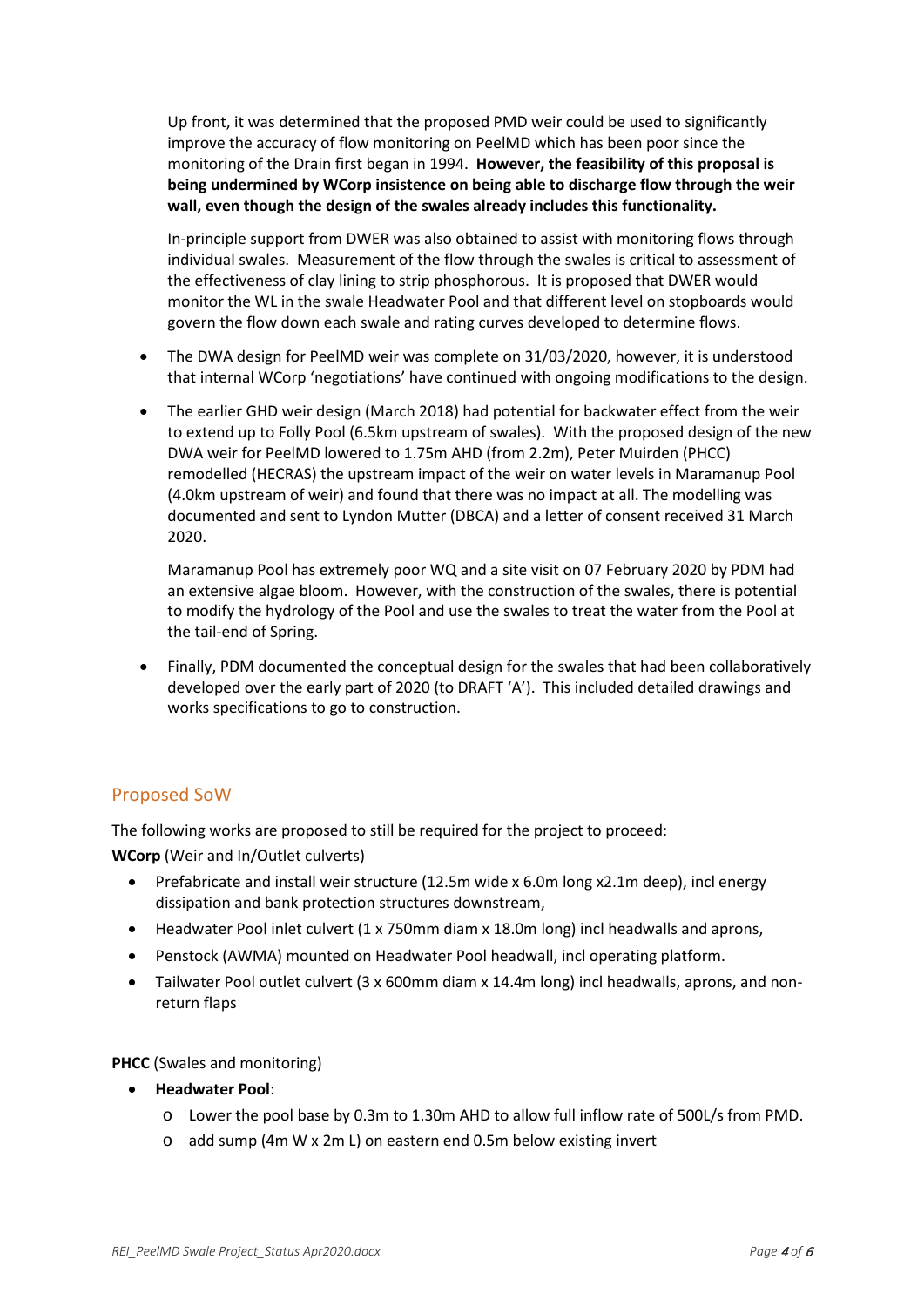Up front, it was determined that the proposed PMD weir could be used to significantly improve the accuracy of flow monitoring on PeelMD which has been poor since the monitoring of the Drain first began in 1994. **However, the feasibility of this proposal is being undermined by WCorp insistence on being able to discharge flow through the weir wall, even though the design of the swales already includes this functionality.**

In-principle support from DWER was also obtained to assist with monitoring flows through individual swales. Measurement of the flow through the swales is critical to assessment of the effectiveness of clay lining to strip phosphorous. It is proposed that DWER would monitor the WL in the swale Headwater Pool and that different level on stopboards would govern the flow down each swale and rating curves developed to determine flows.

- The DWA design for PeelMD weir was complete on 31/03/2020, however, it is understood that internal WCorp 'negotiations' have continued with ongoing modifications to the design.
- The earlier GHD weir design (March 2018) had potential for backwater effect from the weir to extend up to Folly Pool (6.5km upstream of swales). With the proposed design of the new DWA weir for PeelMD lowered to 1.75m AHD (from 2.2m), Peter Muirden (PHCC) remodelled (HECRAS) the upstream impact of the weir on water levels in Maramanup Pool (4.0km upstream of weir) and found that there was no impact at all. The modelling was documented and sent to Lyndon Mutter (DBCA) and a letter of consent received 31 March 2020.

Maramanup Pool has extremely poor WQ and a site visit on 07 February 2020 by PDM had an extensive algae bloom. However, with the construction of the swales, there is potential to modify the hydrology of the Pool and use the swales to treat the water from the Pool at the tail-end of Spring.

• Finally, PDM documented the conceptual design for the swales that had been collaboratively developed over the early part of 2020 (to DRAFT 'A'). This included detailed drawings and works specifications to go to construction.

## Proposed SoW

The following works are proposed to still be required for the project to proceed:

**WCorp** (Weir and In/Outlet culverts)

- Prefabricate and install weir structure (12.5m wide x 6.0m long x2.1m deep), incl energy dissipation and bank protection structures downstream,
- Headwater Pool inlet culvert (1 x 750mm diam x 18.0m long) incl headwalls and aprons,
- Penstock (AWMA) mounted on Headwater Pool headwall, incl operating platform.
- Tailwater Pool outlet culvert (3 x 600mm diam x 14.4m long) incl headwalls, aprons, and nonreturn flaps

#### **PHCC** (Swales and monitoring)

- **Headwater Pool**:
	- o Lower the pool base by 0.3m to 1.30m AHD to allow full inflow rate of 500L/s from PMD.
	- o add sump (4m W x 2m L) on eastern end 0.5m below existing invert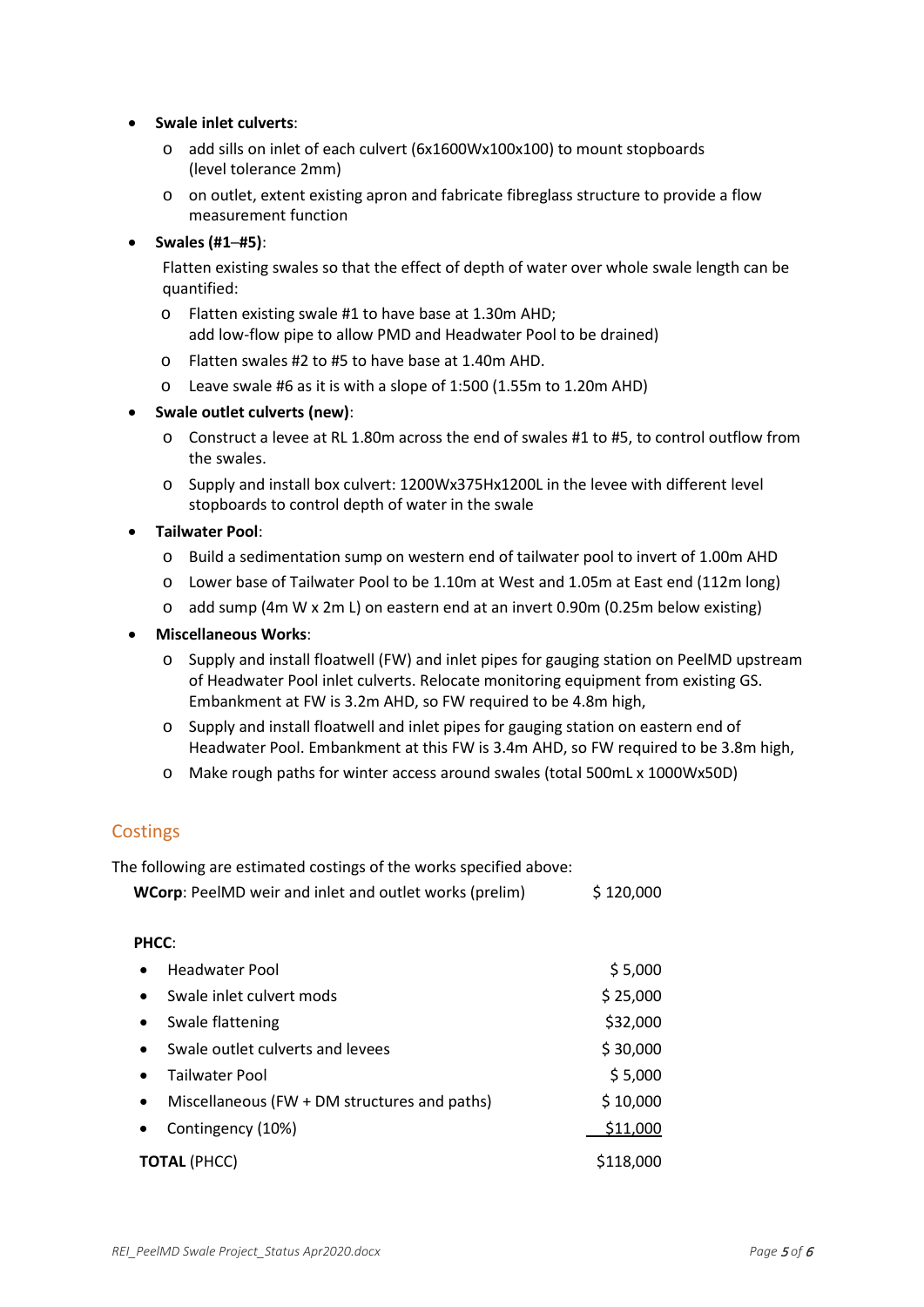#### • **Swale inlet culverts**:

- o add sills on inlet of each culvert (6x1600Wx100x100) to mount stopboards (level tolerance 2mm)
- o on outlet, extent existing apron and fabricate fibreglass structure to provide a flow measurement function

#### • **Swales (#1─#5)**:

Flatten existing swales so that the effect of depth of water over whole swale length can be quantified:

- o Flatten existing swale #1 to have base at 1.30m AHD; add low-flow pipe to allow PMD and Headwater Pool to be drained)
- o Flatten swales #2 to #5 to have base at 1.40m AHD.
- o Leave swale #6 as it is with a slope of 1:500 (1.55m to 1.20m AHD)

#### • **Swale outlet culverts (new)**:

- o Construct a levee at RL 1.80m across the end of swales #1 to #5, to control outflow from the swales.
- o Supply and install box culvert: 1200Wx375Hx1200L in the levee with different level stopboards to control depth of water in the swale

#### • **Tailwater Pool**:

- o Build a sedimentation sump on western end of tailwater pool to invert of 1.00m AHD
- o Lower base of Tailwater Pool to be 1.10m at West and 1.05m at East end (112m long)
- o add sump (4m W x 2m L) on eastern end at an invert 0.90m (0.25m below existing)

#### • **Miscellaneous Works**:

- o Supply and install floatwell (FW) and inlet pipes for gauging station on PeelMD upstream of Headwater Pool inlet culverts. Relocate monitoring equipment from existing GS. Embankment at FW is 3.2m AHD, so FW required to be 4.8m high,
- o Supply and install floatwell and inlet pipes for gauging station on eastern end of Headwater Pool. Embankment at this FW is 3.4m AHD, so FW required to be 3.8m high,
- o Make rough paths for winter access around swales (total 500mL x 1000Wx50D)

## Costings

The following are estimated costings of the works specified above: **WCorp:** PeelMD weir and inlet and outlet works (prelim) \$ 120,000

### **PHCC**:

| $\bullet$           | Headwater Pool                               | \$5,000   |
|---------------------|----------------------------------------------|-----------|
| $\bullet$           | Swale inlet culvert mods                     | \$25,000  |
| $\bullet$           | Swale flattening                             | \$32,000  |
| $\bullet$           | Swale outlet culverts and levees             | \$30,000  |
| $\bullet$           | Tailwater Pool                               | \$5,000   |
| $\bullet$           | Miscellaneous (FW + DM structures and paths) | \$10,000  |
| $\bullet$           | Contingency (10%)                            | \$11,000  |
| <b>TOTAL (PHCC)</b> |                                              | \$118,000 |